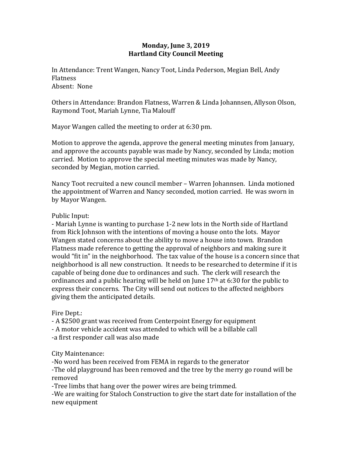## **Monday, June 3, 2019 Hartland City Council Meeting**

In Attendance: Trent Wangen, Nancy Toot, Linda Pederson, Megian Bell, Andy Flatness Absent: None

Others in Attendance: Brandon Flatness, Warren & Linda Johannsen, Allyson Olson, Raymond Toot, Mariah Lynne, Tia Malouff

Mayor Wangen called the meeting to order at 6:30 pm.

Motion to approve the agenda, approve the general meeting minutes from January, and approve the accounts payable was made by Nancy, seconded by Linda; motion carried. Motion to approve the special meeting minutes was made by Nancy, seconded by Megian, motion carried.

Nancy Toot recruited a new council member – Warren Johannsen. Linda motioned the appointment of Warren and Nancy seconded, motion carried. He was sworn in by Mayor Wangen.

## Public Input:

- Mariah Lynne is wanting to purchase 1-2 new lots in the North side of Hartland from Rick Johnson with the intentions of moving a house onto the lots. Mayor Wangen stated concerns about the ability to move a house into town. Brandon Flatness made reference to getting the approval of neighbors and making sure it would "fit in" in the neighborhood. The tax value of the house is a concern since that neighborhood is all new construction. It needs to be researched to determine if it is capable of being done due to ordinances and such. The clerk will research the ordinances and a public hearing will be held on June  $17<sup>th</sup>$  at 6:30 for the public to express their concerns. The City will send out notices to the affected neighbors giving them the anticipated details.

## Fire Dept.:

- A \$2500 grant was received from Centerpoint Energy for equipment - A motor vehicle accident was attended to which will be a billable call -a first responder call was also made

## City Maintenance:

-No word has been received from FEMA in regards to the generator -The old playground has been removed and the tree by the merry go round will be removed

-Tree limbs that hang over the power wires are being trimmed.

-We are waiting for Staloch Construction to give the start date for installation of the new equipment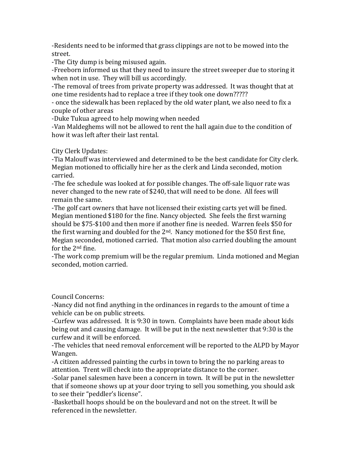-Residents need to be informed that grass clippings are not to be mowed into the street.

-The City dump is being misused again.

-Freeborn informed us that they need to insure the street sweeper due to storing it when not in use. They will bill us accordingly.

-The removal of trees from private property was addressed. It was thought that at one time residents had to replace a tree if they took one down?????

- once the sidewalk has been replaced by the old water plant, we also need to fix a couple of other areas

-Duke Tukua agreed to help mowing when needed

-Van Maldeghems will not be allowed to rent the hall again due to the condition of how it was left after their last rental.

City Clerk Updates:

-Tia Malouff was interviewed and determined to be the best candidate for City clerk. Megian motioned to officially hire her as the clerk and Linda seconded, motion carried.

-The fee schedule was looked at for possible changes. The off-sale liquor rate was never changed to the new rate of \$240, that will need to be done. All fees will remain the same.

-The golf cart owners that have not licensed their existing carts yet will be fined. Megian mentioned \$180 for the fine. Nancy objected. She feels the first warning should be \$75-\$100 and then more if another fine is needed. Warren feels \$50 for the first warning and doubled for the  $2<sup>nd</sup>$ . Nancy motioned for the \$50 first fine, Megian seconded, motioned carried. That motion also carried doubling the amount for the 2nd fine.

-The work comp premium will be the regular premium. Linda motioned and Megian seconded, motion carried.

Council Concerns:

-Nancy did not find anything in the ordinances in regards to the amount of time a vehicle can be on public streets.

-Curfew was addressed. It is 9:30 in town. Complaints have been made about kids being out and causing damage. It will be put in the next newsletter that 9:30 is the curfew and it will be enforced.

-The vehicles that need removal enforcement will be reported to the ALPD by Mayor Wangen.

-A citizen addressed painting the curbs in town to bring the no parking areas to attention. Trent will check into the appropriate distance to the corner.

-Solar panel salesmen have been a concern in town. It will be put in the newsletter that if someone shows up at your door trying to sell you something, you should ask to see their "peddler's license".

-Basketball hoops should be on the boulevard and not on the street. It will be referenced in the newsletter.